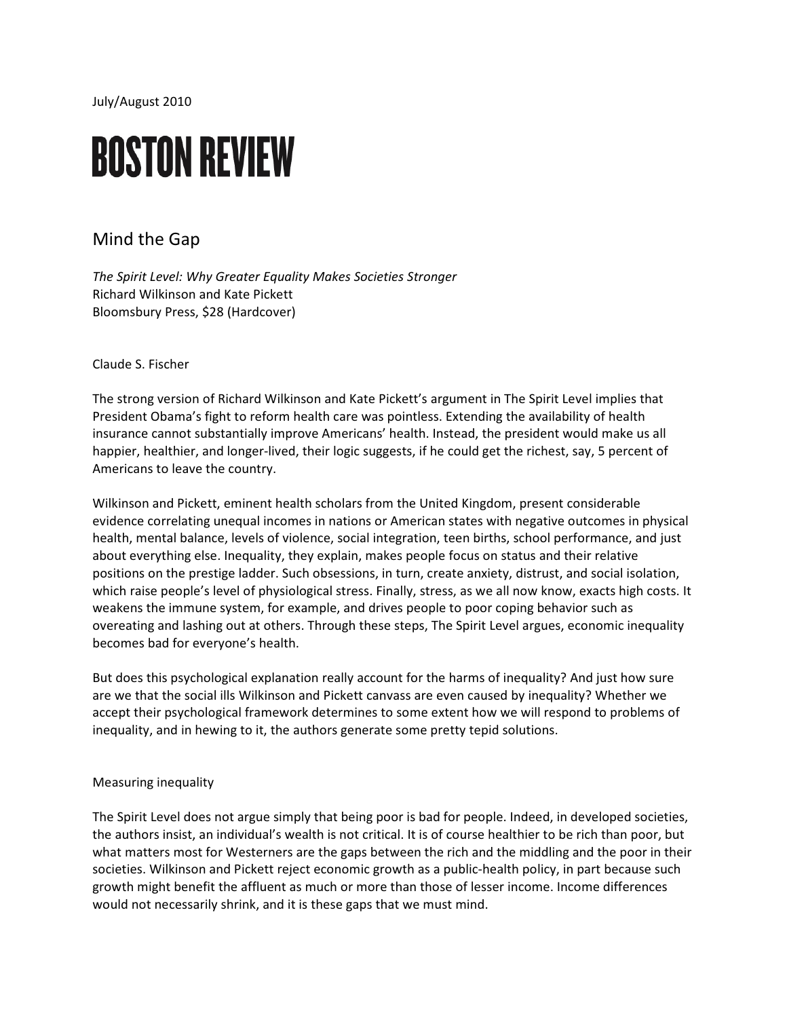July/August 2010

# **BOSTON REVIEW**

## Mind the Gap

*The Spirit Level: Why Greater Equality Makes Societies Stronger* Richard Wilkinson and Kate Pickett Bloomsbury Press, \$28 (Hardcover)

Claude S. Fischer

The strong version of Richard Wilkinson and Kate Pickett's argument in The Spirit Level implies that President Obama's fight to reform health care was pointless. Extending the availability of health insurance cannot substantially improve Americans' health. Instead, the president would make us all happier, healthier, and longer-lived, their logic suggests, if he could get the richest, say, 5 percent of Americans to leave the country.

Wilkinson and Pickett, eminent health scholars from the United Kingdom, present considerable evidence correlating unequal incomes in nations or American states with negative outcomes in physical health, mental balance, levels of violence, social integration, teen births, school performance, and just about everything else. Inequality, they explain, makes people focus on status and their relative positions on the prestige ladder. Such obsessions, in turn, create anxiety, distrust, and social isolation, which raise people's level of physiological stress. Finally, stress, as we all now know, exacts high costs. It weakens the immune system, for example, and drives people to poor coping behavior such as overeating and lashing out at others. Through these steps, The Spirit Level argues, economic inequality becomes bad for everyone's health.

But does this psychological explanation really account for the harms of inequality? And just how sure are we that the social ills Wilkinson and Pickett canvass are even caused by inequality? Whether we accept their psychological framework determines to some extent how we will respond to problems of inequality, and in hewing to it, the authors generate some pretty tepid solutions.

### Measuring inequality

The Spirit Level does not argue simply that being poor is bad for people. Indeed, in developed societies, the authors insist, an individual's wealth is not critical. It is of course healthier to be rich than poor, but what matters most for Westerners are the gaps between the rich and the middling and the poor in their societies. Wilkinson and Pickett reject economic growth as a public-health policy, in part because such growth might benefit the affluent as much or more than those of lesser income. Income differences would not necessarily shrink, and it is these gaps that we must mind.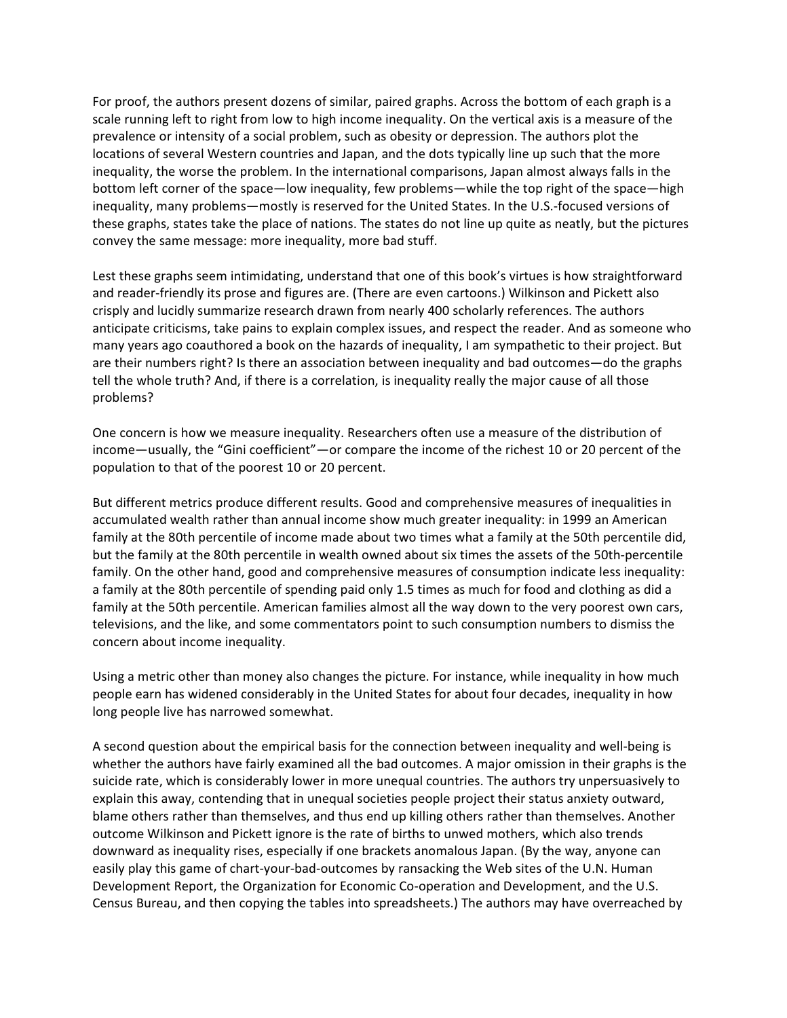For proof, the authors present dozens of similar, paired graphs. Across the bottom of each graph is a scale running left to right from low to high income inequality. On the vertical axis is a measure of the prevalence or intensity of a social problem, such as obesity or depression. The authors plot the locations of several Western countries and Japan, and the dots typically line up such that the more inequality, the worse the problem. In the international comparisons, Japan almost always falls in the bottom left corner of the space—low inequality, few problems—while the top right of the space—high inequality, many problems—mostly is reserved for the United States. In the U.S.-focused versions of these graphs, states take the place of nations. The states do not line up quite as neatly, but the pictures convey the same message: more inequality, more bad stuff.

Lest these graphs seem intimidating, understand that one of this book's virtues is how straightforward and reader-friendly its prose and figures are. (There are even cartoons.) Wilkinson and Pickett also crisply and lucidly summarize research drawn from nearly 400 scholarly references. The authors anticipate criticisms, take pains to explain complex issues, and respect the reader. And as someone who many years ago coauthored a book on the hazards of inequality, I am sympathetic to their project. But are their numbers right? Is there an association between inequality and bad outcomes—do the graphs tell the whole truth? And, if there is a correlation, is inequality really the major cause of all those problems?

One concern is how we measure inequality. Researchers often use a measure of the distribution of income—usually, the "Gini coefficient"—or compare the income of the richest 10 or 20 percent of the population to that of the poorest 10 or 20 percent.

But different metrics produce different results. Good and comprehensive measures of inequalities in accumulated wealth rather than annual income show much greater inequality: in 1999 an American family at the 80th percentile of income made about two times what a family at the 50th percentile did, but the family at the 80th percentile in wealth owned about six times the assets of the 50th-percentile family. On the other hand, good and comprehensive measures of consumption indicate less inequality: a family at the 80th percentile of spending paid only 1.5 times as much for food and clothing as did a family at the 50th percentile. American families almost all the way down to the very poorest own cars, televisions, and the like, and some commentators point to such consumption numbers to dismiss the concern about income inequality.

Using a metric other than money also changes the picture. For instance, while inequality in how much people earn has widened considerably in the United States for about four decades, inequality in how long people live has narrowed somewhat.

A second question about the empirical basis for the connection between inequality and well-being is whether the authors have fairly examined all the bad outcomes. A major omission in their graphs is the suicide rate, which is considerably lower in more unequal countries. The authors try unpersuasively to explain this away, contending that in unequal societies people project their status anxiety outward, blame others rather than themselves, and thus end up killing others rather than themselves. Another outcome Wilkinson and Pickett ignore is the rate of births to unwed mothers, which also trends downward as inequality rises, especially if one brackets anomalous Japan. (By the way, anyone can easily play this game of chart-your-bad-outcomes by ransacking the Web sites of the U.N. Human Development Report, the Organization for Economic Co-operation and Development, and the U.S. Census Bureau, and then copying the tables into spreadsheets.) The authors may have overreached by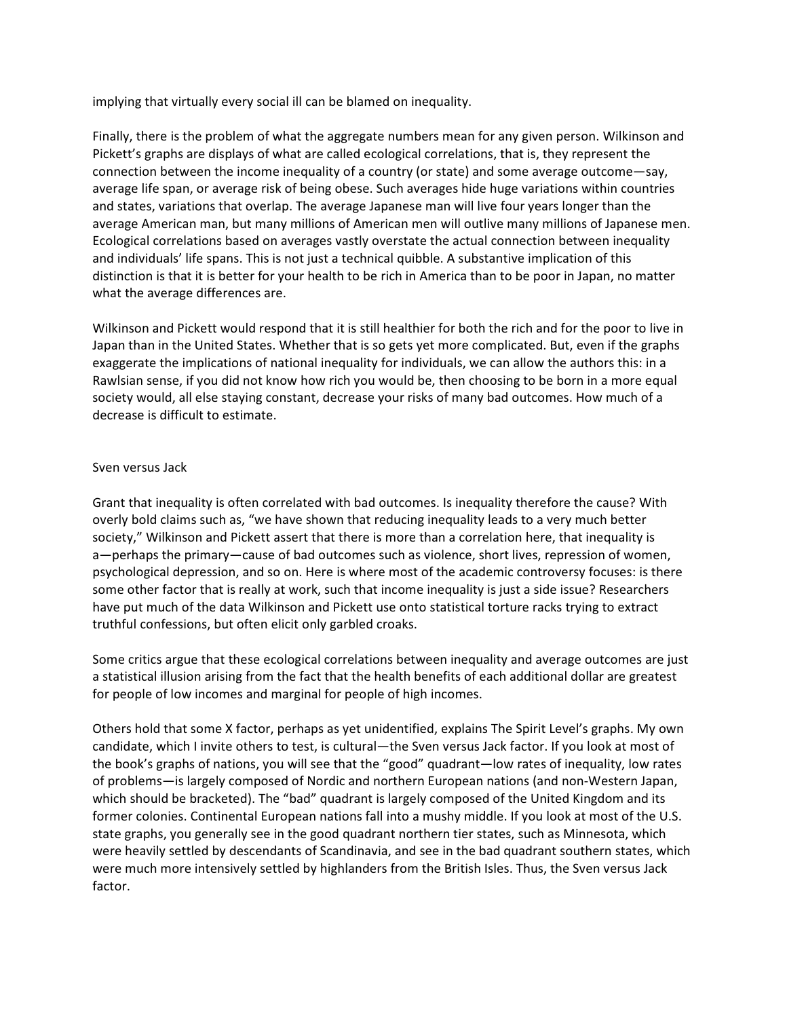implying that virtually every social ill can be blamed on inequality.

Finally, there is the problem of what the aggregate numbers mean for any given person. Wilkinson and Pickett's graphs are displays of what are called ecological correlations, that is, they represent the connection between the income inequality of a country (or state) and some average outcome—say, average life span, or average risk of being obese. Such averages hide huge variations within countries and states, variations that overlap. The average Japanese man will live four years longer than the average American man, but many millions of American men will outlive many millions of Japanese men. Ecological correlations based on averages vastly overstate the actual connection between inequality and individuals' life spans. This is not just a technical quibble. A substantive implication of this distinction is that it is better for your health to be rich in America than to be poor in Japan, no matter what the average differences are.

Wilkinson and Pickett would respond that it is still healthier for both the rich and for the poor to live in Japan than in the United States. Whether that is so gets yet more complicated. But, even if the graphs exaggerate the implications of national inequality for individuals, we can allow the authors this: in a Rawlsian sense, if you did not know how rich you would be, then choosing to be born in a more equal society would, all else staying constant, decrease your risks of many bad outcomes. How much of a decrease is difficult to estimate.

#### Sven versus Jack

Grant that inequality is often correlated with bad outcomes. Is inequality therefore the cause? With overly bold claims such as, "we have shown that reducing inequality leads to a very much better society," Wilkinson and Pickett assert that there is more than a correlation here, that inequality is a—perhaps the primary—cause of bad outcomes such as violence, short lives, repression of women, psychological depression, and so on. Here is where most of the academic controversy focuses: is there some other factor that is really at work, such that income inequality is just a side issue? Researchers have put much of the data Wilkinson and Pickett use onto statistical torture racks trying to extract truthful confessions, but often elicit only garbled croaks.

Some critics argue that these ecological correlations between inequality and average outcomes are just a statistical illusion arising from the fact that the health benefits of each additional dollar are greatest for people of low incomes and marginal for people of high incomes.

Others hold that some X factor, perhaps as yet unidentified, explains The Spirit Level's graphs. My own candidate, which I invite others to test, is cultural—the Sven versus Jack factor. If you look at most of the book's graphs of nations, you will see that the "good" quadrant—low rates of inequality, low rates of problems—is largely composed of Nordic and northern European nations (and non-Western Japan, which should be bracketed). The "bad" quadrant is largely composed of the United Kingdom and its former colonies. Continental European nations fall into a mushy middle. If you look at most of the U.S. state graphs, you generally see in the good quadrant northern tier states, such as Minnesota, which were heavily settled by descendants of Scandinavia, and see in the bad quadrant southern states, which were much more intensively settled by highlanders from the British Isles. Thus, the Sven versus Jack factor.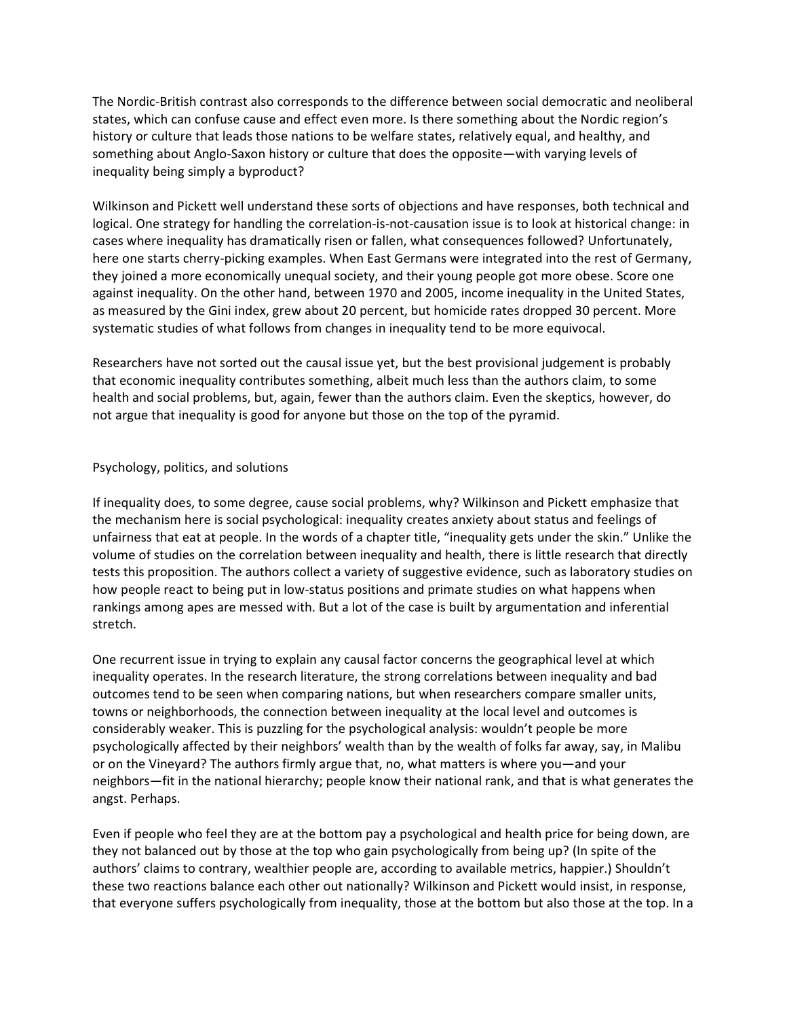The Nordic-British contrast also corresponds to the difference between social democratic and neoliberal states, which can confuse cause and effect even more. Is there something about the Nordic region's history or culture that leads those nations to be welfare states, relatively equal, and healthy, and something about Anglo-Saxon history or culture that does the opposite—with varying levels of inequality being simply a byproduct?

Wilkinson and Pickett well understand these sorts of objections and have responses, both technical and logical. One strategy for handling the correlation-is-not-causation issue is to look at historical change: in cases where inequality has dramatically risen or fallen, what consequences followed? Unfortunately, here one starts cherry-picking examples. When East Germans were integrated into the rest of Germany, they joined a more economically unequal society, and their young people got more obese. Score one against inequality. On the other hand, between 1970 and 2005, income inequality in the United States, as measured by the Gini index, grew about 20 percent, but homicide rates dropped 30 percent. More systematic studies of what follows from changes in inequality tend to be more equivocal.

Researchers have not sorted out the causal issue yet, but the best provisional judgement is probably that economic inequality contributes something, albeit much less than the authors claim, to some health and social problems, but, again, fewer than the authors claim. Even the skeptics, however, do not argue that inequality is good for anyone but those on the top of the pyramid.

### Psychology, politics, and solutions

If inequality does, to some degree, cause social problems, why? Wilkinson and Pickett emphasize that the mechanism here is social psychological: inequality creates anxiety about status and feelings of unfairness that eat at people. In the words of a chapter title, "inequality gets under the skin." Unlike the volume of studies on the correlation between inequality and health, there is little research that directly tests this proposition. The authors collect a variety of suggestive evidence, such as laboratory studies on how people react to being put in low-status positions and primate studies on what happens when rankings among apes are messed with. But a lot of the case is built by argumentation and inferential stretch.

One recurrent issue in trying to explain any causal factor concerns the geographical level at which inequality operates. In the research literature, the strong correlations between inequality and bad outcomes tend to be seen when comparing nations, but when researchers compare smaller units, towns or neighborhoods, the connection between inequality at the local level and outcomes is considerably weaker. This is puzzling for the psychological analysis: wouldn't people be more psychologically affected by their neighbors' wealth than by the wealth of folks far away, say, in Malibu or on the Vineyard? The authors firmly argue that, no, what matters is where you—and your neighbors—fit in the national hierarchy; people know their national rank, and that is what generates the angst. Perhaps.

Even if people who feel they are at the bottom pay a psychological and health price for being down, are they not balanced out by those at the top who gain psychologically from being up? (In spite of the authors' claims to contrary, wealthier people are, according to available metrics, happier.) Shouldn't these two reactions balance each other out nationally? Wilkinson and Pickett would insist, in response, that everyone suffers psychologically from inequality, those at the bottom but also those at the top. In a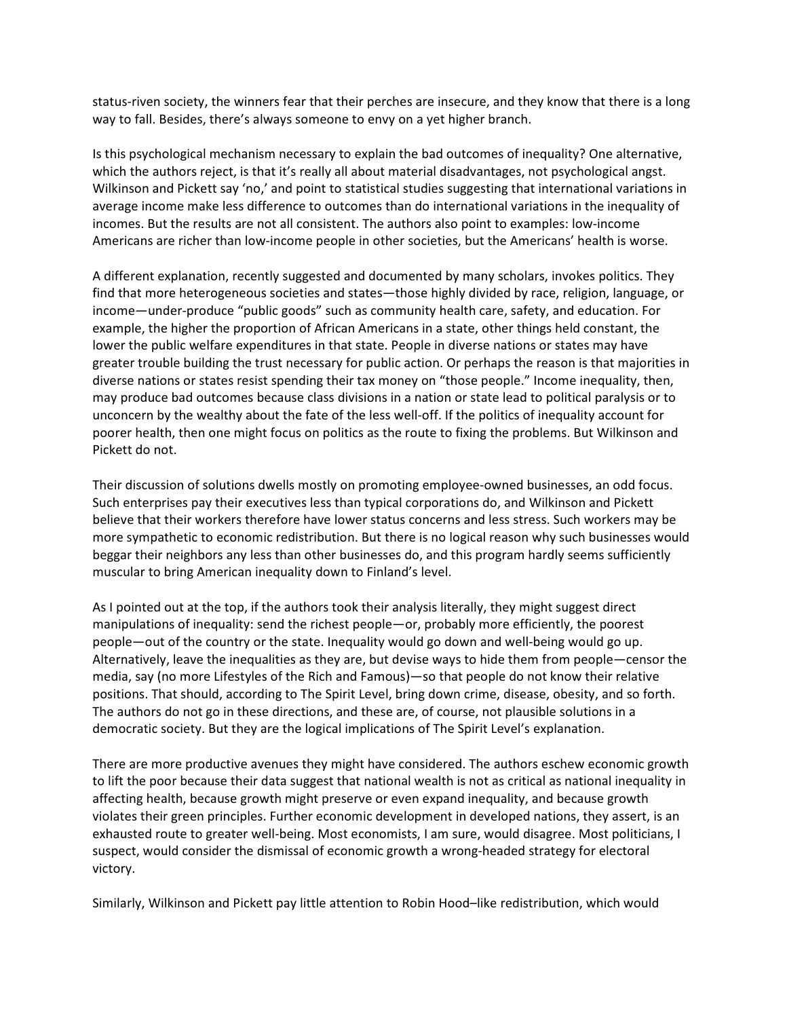status-riven society, the winners fear that their perches are insecure, and they know that there is a long way to fall. Besides, there's always someone to envy on a yet higher branch.

Is this psychological mechanism necessary to explain the bad outcomes of inequality? One alternative, which the authors reject, is that it's really all about material disadvantages, not psychological angst. Wilkinson and Pickett say 'no,' and point to statistical studies suggesting that international variations in average income make less difference to outcomes than do international variations in the inequality of incomes. But the results are not all consistent. The authors also point to examples: low-income Americans are richer than low-income people in other societies, but the Americans' health is worse.

A different explanation, recently suggested and documented by many scholars, invokes politics. They find that more heterogeneous societies and states—those highly divided by race, religion, language, or income—under-produce "public goods" such as community health care, safety, and education. For example, the higher the proportion of African Americans in a state, other things held constant, the lower the public welfare expenditures in that state. People in diverse nations or states may have greater trouble building the trust necessary for public action. Or perhaps the reason is that majorities in diverse nations or states resist spending their tax money on "those people." Income inequality, then, may produce bad outcomes because class divisions in a nation or state lead to political paralysis or to unconcern by the wealthy about the fate of the less well-off. If the politics of inequality account for poorer health, then one might focus on politics as the route to fixing the problems. But Wilkinson and Pickett do not.

Their discussion of solutions dwells mostly on promoting employee-owned businesses, an odd focus. Such enterprises pay their executives less than typical corporations do, and Wilkinson and Pickett believe that their workers therefore have lower status concerns and less stress. Such workers may be more sympathetic to economic redistribution. But there is no logical reason why such businesses would beggar their neighbors any less than other businesses do, and this program hardly seems sufficiently muscular to bring American inequality down to Finland's level.

As I pointed out at the top, if the authors took their analysis literally, they might suggest direct manipulations of inequality: send the richest people—or, probably more efficiently, the poorest people—out of the country or the state. Inequality would go down and well-being would go up. Alternatively, leave the inequalities as they are, but devise ways to hide them from people—censor the media, say (no more Lifestyles of the Rich and Famous)—so that people do not know their relative positions. That should, according to The Spirit Level, bring down crime, disease, obesity, and so forth. The authors do not go in these directions, and these are, of course, not plausible solutions in a democratic society. But they are the logical implications of The Spirit Level's explanation.

There are more productive avenues they might have considered. The authors eschew economic growth to lift the poor because their data suggest that national wealth is not as critical as national inequality in affecting health, because growth might preserve or even expand inequality, and because growth violates their green principles. Further economic development in developed nations, they assert, is an exhausted route to greater well-being. Most economists, I am sure, would disagree. Most politicians, I suspect, would consider the dismissal of economic growth a wrong-headed strategy for electoral victory.

Similarly, Wilkinson and Pickett pay little attention to Robin Hood–like redistribution, which would